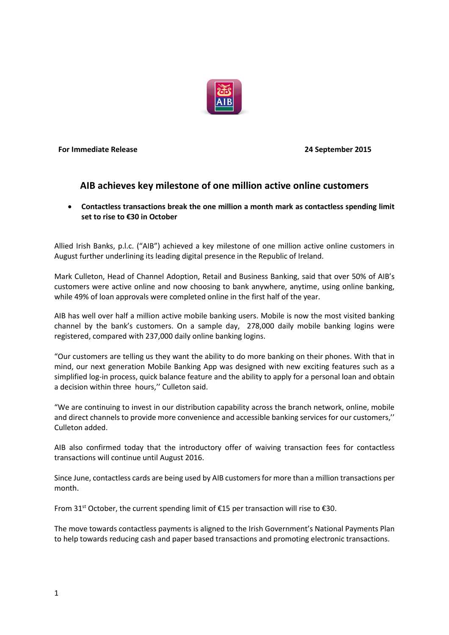

**For Immediate Release 24 September 2015**

## **AIB achieves key milestone of one million active online customers**

 **Contactless transactions break the one million a month mark as contactless spending limit set to rise to €30 in October**

Allied Irish Banks, p.l.c. ("AIB") achieved a key milestone of one million active online customers in August further underlining its leading digital presence in the Republic of Ireland.

Mark Culleton, Head of Channel Adoption, Retail and Business Banking, said that over 50% of AIB's customers were active online and now choosing to bank anywhere, anytime, using online banking, while 49% of loan approvals were completed online in the first half of the year.

AIB has well over half a million active mobile banking users. Mobile is now the most visited banking channel by the bank's customers. On a sample day, 278,000 daily mobile banking logins were registered, compared with 237,000 daily online banking logins.

"Our customers are telling us they want the ability to do more banking on their phones. With that in mind, our next generation Mobile Banking App was designed with new exciting features such as a simplified log-in process, quick balance feature and the ability to apply for a personal loan and obtain a decision within three hours,'' Culleton said.

"We are continuing to invest in our distribution capability across the branch network, online, mobile and direct channels to provide more convenience and accessible banking services for our customers,'' Culleton added.

AIB also confirmed today that the introductory offer of waiving transaction fees for contactless transactions will continue until August 2016.

Since June, contactless cards are being used by AIB customers for more than a million transactions per month.

From 31<sup>st</sup> October, the current spending limit of €15 per transaction will rise to €30.

The move towards contactless payments is aligned to the Irish Government's National Payments Plan to help towards reducing cash and paper based transactions and promoting electronic transactions.